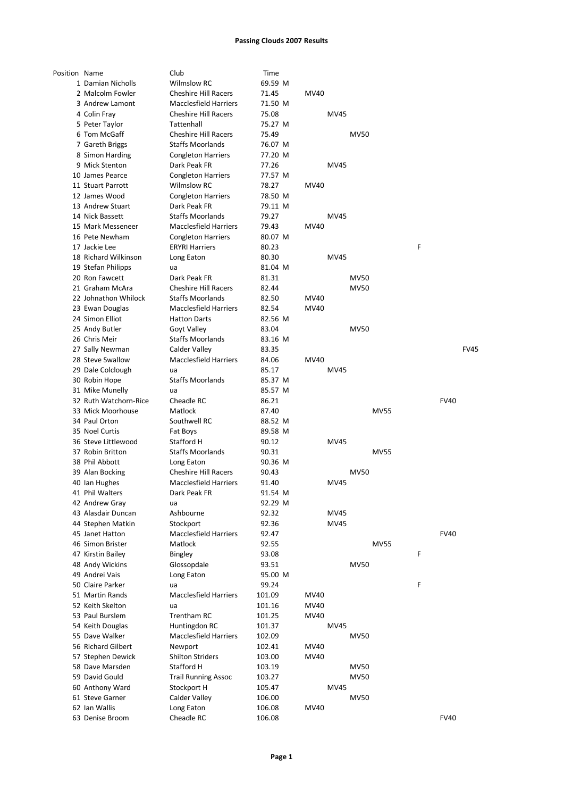| Position Name |                       | Club                         | Time             |             |             |             |             |   |             |             |
|---------------|-----------------------|------------------------------|------------------|-------------|-------------|-------------|-------------|---|-------------|-------------|
|               | 1 Damian Nicholls     | <b>Wilmslow RC</b>           | 69.59 M          |             |             |             |             |   |             |             |
|               | 2 Malcolm Fowler      | <b>Cheshire Hill Racers</b>  | 71.45            | MV40        |             |             |             |   |             |             |
|               | 3 Andrew Lamont       | <b>Macclesfield Harriers</b> | 71.50 M          |             |             |             |             |   |             |             |
|               | 4 Colin Fray          | <b>Cheshire Hill Racers</b>  | 75.08            |             | MV45        |             |             |   |             |             |
|               | 5 Peter Taylor        | Tattenhall                   | 75.27 M          |             |             |             |             |   |             |             |
|               | 6 Tom McGaff          | <b>Cheshire Hill Racers</b>  | 75.49            |             |             | <b>MV50</b> |             |   |             |             |
|               | 7 Gareth Briggs       | <b>Staffs Moorlands</b>      | 76.07 M          |             |             |             |             |   |             |             |
|               | 8 Simon Harding       | <b>Congleton Harriers</b>    | 77.20 M          |             |             |             |             |   |             |             |
|               | 9 Mick Stenton        | Dark Peak FR                 | 77.26            |             | MV45        |             |             |   |             |             |
|               | 10 James Pearce       | <b>Congleton Harriers</b>    | 77.57 M          |             |             |             |             |   |             |             |
|               | 11 Stuart Parrott     | <b>Wilmslow RC</b>           | 78.27            | <b>MV40</b> |             |             |             |   |             |             |
|               | 12 James Wood         | <b>Congleton Harriers</b>    | 78.50 M          |             |             |             |             |   |             |             |
|               | 13 Andrew Stuart      | Dark Peak FR                 | 79.11 M          |             |             |             |             |   |             |             |
|               | 14 Nick Bassett       | <b>Staffs Moorlands</b>      | 79.27            |             | MV45        |             |             |   |             |             |
|               | 15 Mark Messeneer     | <b>Macclesfield Harriers</b> | 79.43            | MV40        |             |             |             |   |             |             |
|               |                       |                              |                  |             |             |             |             |   |             |             |
|               | 16 Pete Newham        | <b>Congleton Harriers</b>    | 80.07 M          |             |             |             |             |   |             |             |
|               | 17 Jackie Lee         | <b>ERYRI Harriers</b>        | 80.23            |             |             |             |             | F |             |             |
|               | 18 Richard Wilkinson  | Long Eaton                   | 80.30            |             | <b>MV45</b> |             |             |   |             |             |
|               | 19 Stefan Philipps    | ua                           | 81.04 M          |             |             |             |             |   |             |             |
|               | 20 Ron Fawcett        | Dark Peak FR                 | 81.31            |             |             | <b>MV50</b> |             |   |             |             |
|               | 21 Graham McAra       | <b>Cheshire Hill Racers</b>  | 82.44            |             |             | <b>MV50</b> |             |   |             |             |
|               | 22 Johnathon Whilock  | <b>Staffs Moorlands</b>      | 82.50            | MV40        |             |             |             |   |             |             |
|               | 23 Ewan Douglas       | <b>Macclesfield Harriers</b> | 82.54            | MV40        |             |             |             |   |             |             |
|               | 24 Simon Elliot       | <b>Hatton Darts</b>          | 82.56 M          |             |             |             |             |   |             |             |
|               | 25 Andy Butler        | Goyt Valley                  | 83.04            |             |             | <b>MV50</b> |             |   |             |             |
|               | 26 Chris Meir         | <b>Staffs Moorlands</b>      | 83.16 M          |             |             |             |             |   |             |             |
|               | 27 Sally Newman       | Calder Valley                | 83.35            |             |             |             |             |   |             | <b>FV45</b> |
|               | 28 Steve Swallow      | <b>Macclesfield Harriers</b> | 84.06            | MV40        |             |             |             |   |             |             |
|               | 29 Dale Colclough     | ua                           | 85.17            |             | <b>MV45</b> |             |             |   |             |             |
|               | 30 Robin Hope         | <b>Staffs Moorlands</b>      | 85.37 M          |             |             |             |             |   |             |             |
|               | 31 Mike Munelly       | ua                           | 85.57 M          |             |             |             |             |   |             |             |
|               | 32 Ruth Watchorn-Rice | Cheadle RC                   | 86.21            |             |             |             |             |   | <b>FV40</b> |             |
|               | 33 Mick Moorhouse     | Matlock                      | 87.40            |             |             |             | <b>MV55</b> |   |             |             |
|               | 34 Paul Orton         | Southwell RC                 | 88.52 M          |             |             |             |             |   |             |             |
|               | 35 Noel Curtis        | Fat Boys                     | 89.58 M          |             |             |             |             |   |             |             |
|               | 36 Steve Littlewood   | Stafford H                   | 90.12            |             | MV45        |             |             |   |             |             |
|               |                       |                              |                  |             |             |             |             |   |             |             |
|               | 37 Robin Britton      | <b>Staffs Moorlands</b>      | 90.31            |             |             |             | <b>MV55</b> |   |             |             |
|               |                       |                              |                  |             |             |             |             |   |             |             |
|               | 38 Phil Abbott        | Long Eaton                   | 90.36 M          |             |             |             |             |   |             |             |
|               | 39 Alan Bocking       | <b>Cheshire Hill Racers</b>  | 90.43            |             |             | <b>MV50</b> |             |   |             |             |
|               | 40 Ian Hughes         | <b>Macclesfield Harriers</b> | 91.40            |             | MV45        |             |             |   |             |             |
|               | 41 Phil Walters       | Dark Peak FR                 | 91.54 M          |             |             |             |             |   |             |             |
|               | 42 Andrew Gray        | ua                           | 92.29 M          |             |             |             |             |   |             |             |
|               | 43 Alasdair Duncan    | Ashbourne                    | 92.32            |             | MV45        |             |             |   |             |             |
|               | 44 Stephen Matkin     | Stockport                    | 92.36            |             | MV45        |             |             |   |             |             |
|               | 45 Janet Hatton       | <b>Macclesfield Harriers</b> | 92.47            |             |             |             |             |   | <b>FV40</b> |             |
|               | 46 Simon Brister      | Matlock                      | 92.55            |             |             |             | <b>MV55</b> |   |             |             |
|               | 47 Kirstin Bailey     | Bingley                      | 93.08            |             |             |             |             | F |             |             |
|               | 48 Andy Wickins       | Glossopdale                  | 93.51            |             |             | <b>MV50</b> |             |   |             |             |
|               | 49 Andrei Vais        | Long Eaton                   | 95.00 M          |             |             |             |             |   |             |             |
|               | 50 Claire Parker      | ua                           | 99.24            |             |             |             |             | F |             |             |
|               | 51 Martin Rands       | <b>Macclesfield Harriers</b> | 101.09           | MV40        |             |             |             |   |             |             |
|               | 52 Keith Skelton      | ua                           | 101.16           | <b>MV40</b> |             |             |             |   |             |             |
|               | 53 Paul Burslem       | Trentham RC                  | 101.25           | MV40        |             |             |             |   |             |             |
|               | 54 Keith Douglas      | Huntingdon RC                | 101.37           |             | MV45        |             |             |   |             |             |
|               | 55 Dave Walker        | <b>Macclesfield Harriers</b> | 102.09           |             |             | <b>MV50</b> |             |   |             |             |
|               | 56 Richard Gilbert    | Newport                      | 102.41           | MV40        |             |             |             |   |             |             |
|               | 57 Stephen Dewick     | <b>Shilton Striders</b>      | 103.00           | MV40        |             |             |             |   |             |             |
|               | 58 Dave Marsden       | Stafford H                   | 103.19           |             |             | <b>MV50</b> |             |   |             |             |
|               | 59 David Gould        | <b>Trail Running Assoc</b>   | 103.27           |             |             | <b>MV50</b> |             |   |             |             |
|               | 60 Anthony Ward       | Stockport H                  | 105.47           |             | MV45        |             |             |   |             |             |
|               | 61 Steve Garner       | Calder Valley                | 106.00           |             |             | <b>MV50</b> |             |   |             |             |
|               | 62 Ian Wallis         | Long Eaton<br>Cheadle RC     | 106.08<br>106.08 | MV40        |             |             |             |   | <b>FV40</b> |             |